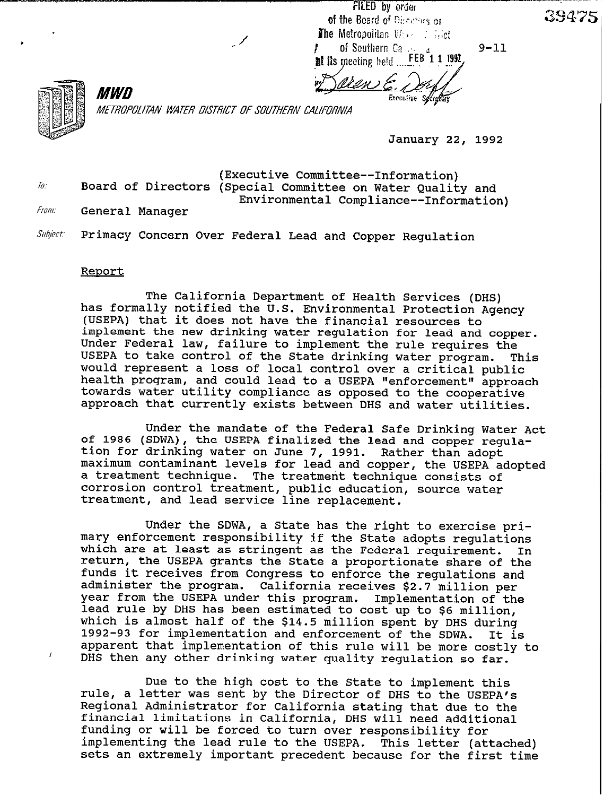**FILED** by order of the Board of Directors or **The Metropolitan**  $V(x) \leq x$  **is identified of Southern** Carry FEB 1 1 1992 at its meeting held

Uen E

 $9 - 11$ 

39475



 $\overline{1}$ 

*MWD* METROPOLITAN WATER DISTRICT OF SOUTHERN CALIFORNIA

**January 22, 1992** 

**(Executive Committee--Information)**  To: **Board of Directors (Special Committee on Water Quality and Environmental Compliance--Information)** 

From: **General Manager** 

Subject: **Primacy Concern Over Federal Lead and Copper Regulation** 

## **Report**

**The California Department of Health Services (DHS) has formally notified the U.S. Environmental Protection Agency (USEPA) that it does not have the financial resources to implement the new drinking water regulation for lead and copper. Under Federal law, failure to implement the rule requires the USEPA to take control of the State drinking water program. This would represent a loss of local control over a critical public health program, and could lead to a USEPA "enforcement" approach towards water utility compliance as opposed to the cooperative approach that currently exists between DHS and water utilities.** 

**Under the mandate of the Federal Safe Drinking Water Act of 1986 (SDWA), the USEPA finalized the lead and copper regulation for drinking water on June 7, 1991. Rather than adopt maximum contaminant levels for lead and copper, the USEPA adopted a treatment technique. The treatment technique consists of corrosion control treatment, public education, source water treatment, and lead service line replacement.** 

**Under the SDWA, a State has the right to exercise primary enforcement responsibility if the State adopts regulations which are at least as stringent as the Federal requirement. In return, the USEPA grants the State a proportionate share of the funds it receives from Congress to enforce the regulations and administer the program. California receives \$2.7 million per year from the USEPA under this program. lead rule by DHS has been estimated to cost up to \$6 million, which is almost half of the \$14.5 million spent by DHS during 1992-93 for implementation and enforcement of the SDWA. It is apparent that implementation of this rule will be more costly to DHS then any other drinking water quality regulation so far.** 

**Due to the high cost to the State to implement this**  rule, a letter was sent by the Director of DHS to the USEPA's **Regional Administrator for California stating that due to the financial limitations in California, DHS will need additional funding or will be forced to turn over responsibility for implementing the lead rule to the USEPA. This letter (attached) sets an extremely important precedent because for the first time**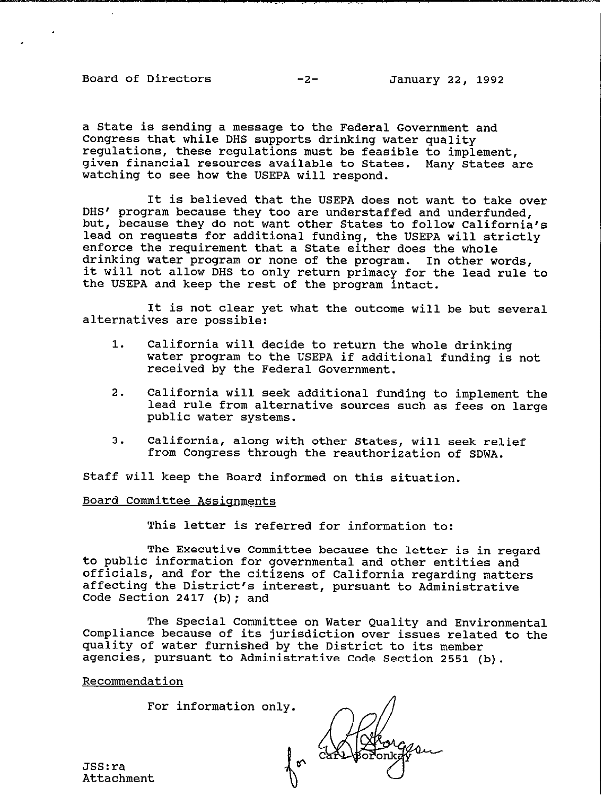Board of Directors -2- January 22, 1992

\_. .~~ .., ..\_

a State is sending a message to the Federal Government and Congress that while DHS supports drinking water quality regulations, these regulations must be feasible to implement, given financial resources available to States. Many States are watching to see how the USEPA will respond.

It is believed that the USEPA does not want to take over DHS' program because they too are understaffed and underfunded, but, because they do not want other States to follow California's lead on requests for additional funding, the USEPA will strictly enforce the requirement that a State either does the whole drinking water program or none of the program. In other words, it will not allow DHS to only return primacy for the lead rule to the USEPA and keep the rest of the program intact.

It is not clear yet what the outcome will be but several alternatives are possible:

- 1. California will decide to return the whole drinking water program to the USEPA if additional funding is not received by the Federal Government.
- 2. California will seek additional funding to implement the lead rule from alternative sources such as fees on large public water systems.
- 3. California, along with other States, will seek relief from Congress through the reauthorization of SDWA.

Staff will keep the Board informed on this situation.

## Board Committee Assisnments

For information only.

This letter is referred for information to:

to public information for governmental and other entities and The Executive Committee because the letter is in regard officials, and for the citizens of California regarding matters affecting the District's interest, pursuant to Administrative Code Section 2417 (b); and

The Special Committee on Water Quality and Environmental Compliance because of its jurisdiction over issues related to the quality of water furnished by the District to its member agencies, pursuant to Administrative Code Section 2551 (b).

a

Recommendation

**a** 

JSS:ra Attachment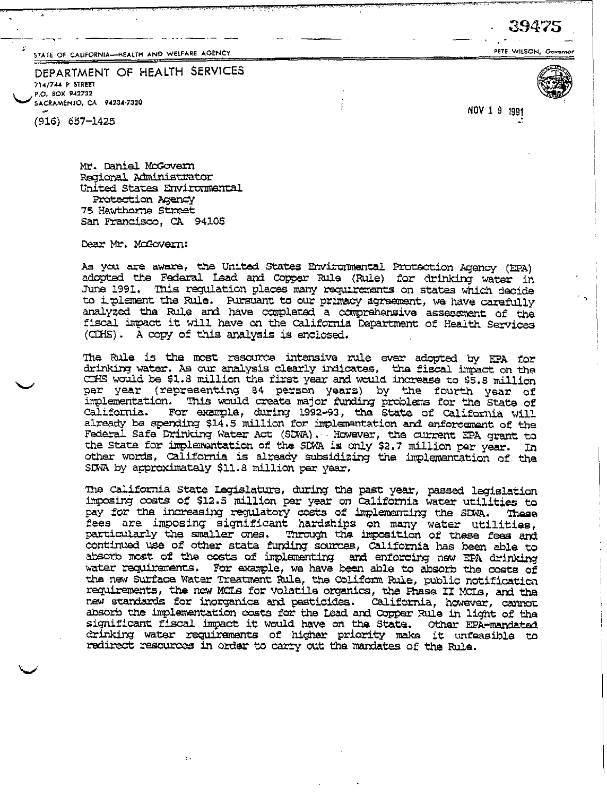STATE OF CALIFORNIA-HEALTH AND WELFARE AGENCY

DEPARTMENT OF HEALTH SERVICES 714/744 P STREET P.O. BOX 942732 SACRAMENTO, CA 94234-7320

 $(916) 657 - 1425$ 

NOV 1 9 1991

Mr. Daniel McGovern Regional Administrator United States Environmental Protection Agency 75 Hawthorna Street San Francisco, CA 94105

Dear Mr. McGovern:

As you are aware, the United States Environmental Protection Agency (EPA) adopted the Federal Lead and Copper Rule (Rule) for drinking water in June 1991. This regulation places many requirements on states which decide to i plement the Rule. Pursuant to our primacy agreement, we have carefully analyzed the Rule and have completed a comprehensive assessment of the fiscal impact it will have on the California Department of Health Services (CDHS). A copy of this analysis is enclosed.

The Rule is the most resource intensive rule ever adopted by EPA for drinking water. As our analysis clearly indicates, the fiscal impact on the CIHS would be \$1.8 million the first year and would increase to \$5.8 million per year (representing 84 person years) by the fourth year of implementation. This would create major funding problems for the State of California. For example, during 1992-93, the State of California will already be spending \$14.5 million for implementation and enforcement of the Federal Safe Drinking Water Act (SDWA), However, the current EPA grant to the State for implementation of the SDWA is only \$2.7 million par year. In other words, California is already subsidizing the implementation of the SDWA by approximately \$11.8 million per year.

The California State Legislature, during the past year, passed legislation imposing costs of \$12.5 million par year on California water utilities to pay for the increasing regulatory costs of implementing the SDWA. These<br>fees are imposing significant hardships on many water utilities,<br>particularly the smaller ones. Through the imposition of these fees and continued use of other state funding sources, California has been able to absorb most of the costs of implementing and enforcing new EPA drinking water requirements. For example, we have been able to absorb the costs of the new Surface Water Treatment Rule, the Coliform Rule, public notification requirements, the new MCLs for volatile organics, the Fhase II MCLs, and the new standards for inorganics and pasticides. California, however, cannot absorb the implementation costs for the lead and Copper Rule in light of the significant fiscal impact it would have on the State. Other EPA-mandated<br>drinking water requirements of higher priority make it unfeasible to redirect resources in order to carry out the mandates of the Rule.



 $\overline{\phantom{a}}$ 

PETE WILSON, Governor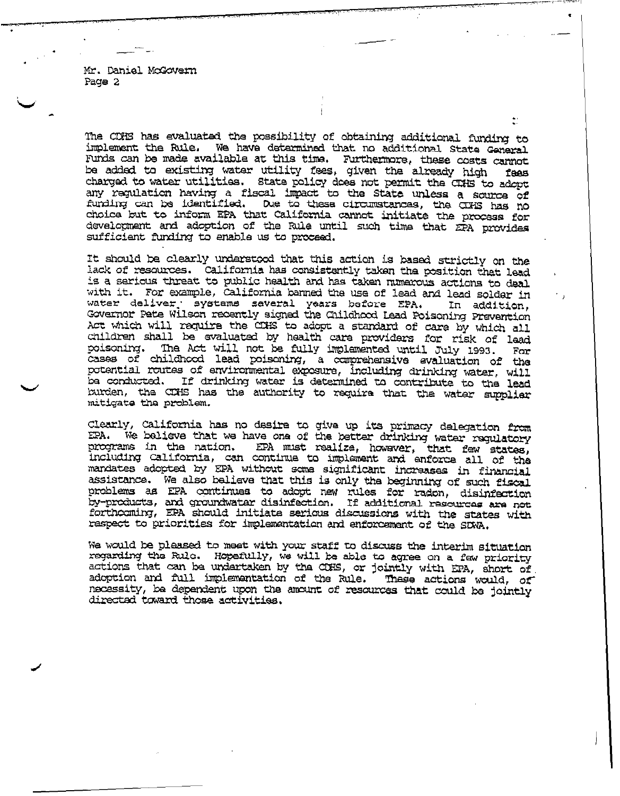Mr. Daniel McGovern Page 2

The CDHS has evaluated the possibility of obtaining additional funding to We have determined that no additional State General implement the Rule. Funds can be made available at this time. Furthermore, these costs cannot<br>be added to existing water utility fees, given the already high fees<br>charged to water utilities. State policy does not permit the CRHS to adopt any regulation having a fiscal impact to the State unless a source of funding can be identified. Due to these circumstances, the CDHS has no choica but to inform EPA that California cannot initiate the process for development and adoption of the Rule until such time that EPA provides sufficient funding to enable us to proceed.

It should be clearly understood that this action is based strictly on the lack of resources. California has consistently taken the position that lead is a serious threat to public health and has taken numerous actions to deal with it. For example, California banned the use of lead and lead solder in water deliver, systems saveral years before EPA. In addition, Governor Pete Wilson recently signed the Childhood Lead Poisoning Prevention Act which will require the CIHS to adopt a standard of care by which all children shall be evaluated by health care providers for risk of lead poisoning. The Act will not be fully implemented until July 1993. For cases of childhood lead poisoning, a comprehensive evaluation of the potential routes of environmental exposure, including drinking water, will be conducted. If drinking water is determined to contribute to the lead burden, the CIHS has the authority to require that the water supplier mitigate the problem.

Clearly, California has no desire to give up its primacy delegation from We believe that we have one of the better drinking water requlatory EPA. programs in the nation. EPA must realize, however, that few states, including California, can continue to implement and enforce all of the mandates adopted by EPA without some significant increases in financial assistance. We also believe that this is only the beginning of such fiscal problems as EPA continues to adopt new rules for radon, disinfection<br>by-products, and groundwater disinfection. If additional resources are not<br>forthcoming, EPA should initiate serious discussions with the states with raspect to priorities for implementation and enforcement of the SDWA.

We would be pleased to meet with your staff to discuss the interim situation regarding the Rule. Hopefully, we will be able to agree on a few priority actions that can be undertaken by the COHS, or jointly with EPA, short of adoption and full implementation of the Rule. These actions would, of necessity, be dependent upon the amount of resources that could be jointly directed toward those activities.